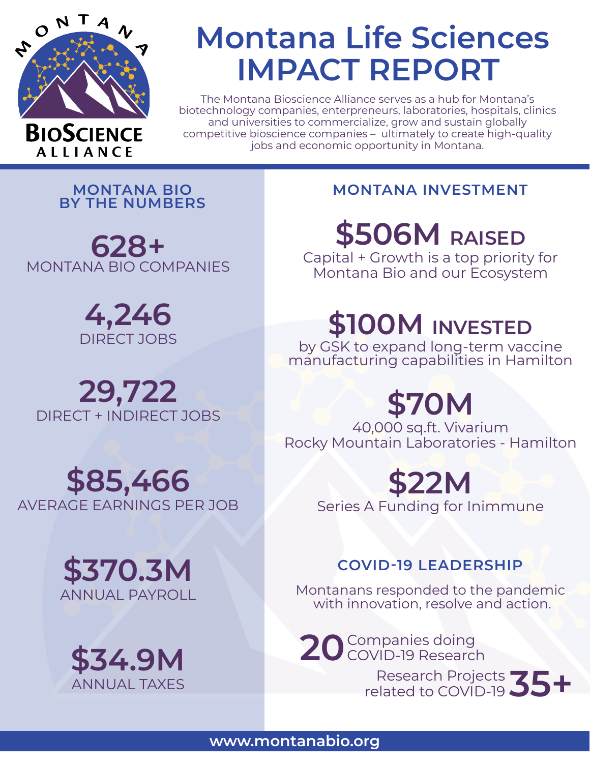

**ALLIANCE** 

## **Montana Life Sciences IMPACT REPORT**

The Montana Bioscience Alliance serves as a hub for Montana's biotechnology companies, enterpreneurs, laboratories, hospitals, clinics and universities to commercialize, grow and sustain globally competitive bioscience companies – ultimately to create high-quality jobs and economic opportunity in Montana.

**MONTANA BIO BY THE NUMBERS**

**628+** MONTANA BIO COMPANIES

> **4,246** DIRECT JOBS

**29,722** DIRECT + INDIRECT JOBS

### **\$85,466** AVERAGE EARNINGS PER JOB





#### **MONTANA INVESTMENT**

**\$506M RAISED**

Capital + Growth is a top priority for Montana Bio and our Ecosystem

## **\$100M INVESTED**

by GSK to expand long-term vaccine manufacturing capabilities in Hamilton

# **\$70M**

40,000 sq.ft. Vivarium Rocky Mountain Laboratories - Hamilton

## **\$22M**

Series A Funding for Inimmune

#### **COVID-19 LEADERSHIP**

Montanans responded to the pandemic with innovation, resolve and action.

Companies doing 20 Companies doing<br>20 COVID-19 Research

Research Projects related to COVID-19 **35+**

#### **www.montanabio.org**